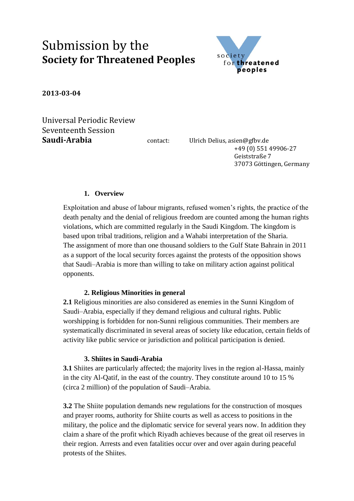# Submission by the **Society for Threatened Peoples**



**2013-03-04**

Universal Periodic Review Seventeenth Session **Saudi-Arabia** contact: Ulrich Delius, asien@gfbv.de

 +49 (0) 551 49906-27 Geiststraße 7 37073 Göttingen, Germany

## **1. Overview**

Exploitation and abuse of labour migrants, refused women's rights, the practice of the death penalty and the denial of religious freedom are counted among the human rights violations, which are committed regularly in the Saudi Kingdom. The kingdom is based upon tribal traditions, religion and a Wahabi interpretation of the Sharia. The assignment of more than one thousand soldiers to the Gulf State Bahrain in 2011 as a support of the local security forces against the protests of the opposition shows that Saudi–Arabia is more than willing to take on military action against political opponents.

### **2. Religious Minorities in general**

**2.1** Religious minorities are also considered as enemies in the Sunni Kingdom of Saudi–Arabia, especially if they demand religious and cultural rights. Public worshipping is forbidden for non-Sunni religious communities. Their members are systematically discriminated in several areas of society like education, certain fields of activity like public service or jurisdiction and political participation is denied.

### **3. Shiites in Saudi-Arabia**

**3.1** Shiites are particularly affected; the majority lives in the region al-Hassa, mainly in the city Al-Qatif, in the east of the country. They constitute around 10 to 15 % (circa 2 million) of the population of Saudi–Arabia.

**3.2** The Shiite population demands new regulations for the construction of mosques and prayer rooms, authority for Shiite courts as well as access to positions in the military, the police and the diplomatic service for several years now. In addition they claim a share of the profit which Riyadh achieves because of the great oil reserves in their region. Arrests and even fatalities occur over and over again during peaceful protests of the Shiites.